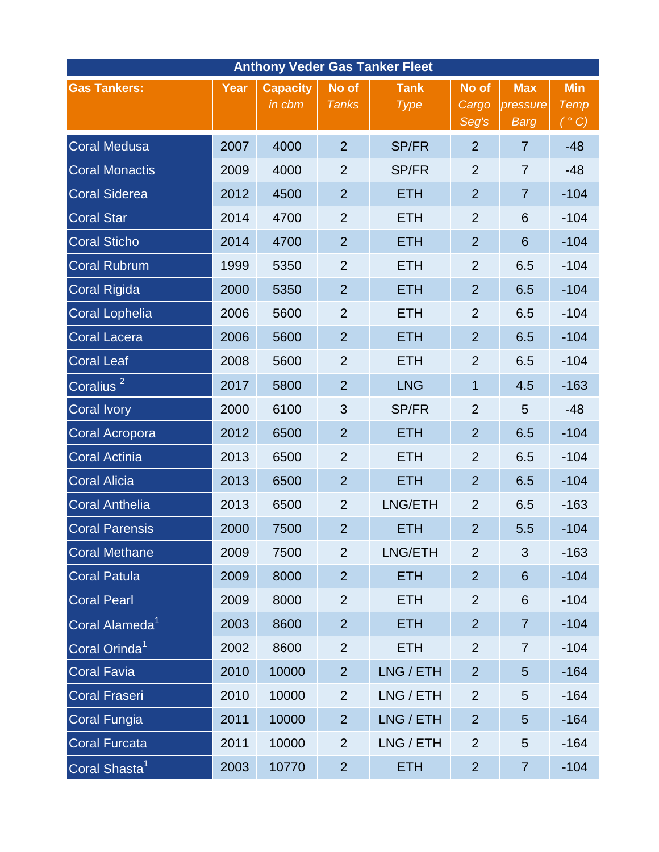| <b>Anthony Veder Gas Tanker Fleet</b> |      |                           |                       |                            |                         |                                |                                                           |  |  |  |  |  |
|---------------------------------------|------|---------------------------|-----------------------|----------------------------|-------------------------|--------------------------------|-----------------------------------------------------------|--|--|--|--|--|
| <b>Gas Tankers:</b>                   | Year | <b>Capacity</b><br>in cbm | No of<br><b>Tanks</b> | <b>Tank</b><br><b>Type</b> | No of<br>Cargo<br>Seg's | <b>Max</b><br>pressure<br>Barg | <b>Min</b><br>Temp<br>$(\overline{\phantom{a}}^{\circ}C)$ |  |  |  |  |  |
| <b>Coral Medusa</b>                   | 2007 | 4000                      | $\overline{2}$        | <b>SP/FR</b>               | $\overline{2}$          | $\overline{7}$                 | $-48$                                                     |  |  |  |  |  |
| <b>Coral Monactis</b>                 | 2009 | 4000                      | $\overline{2}$        | <b>SP/FR</b>               | $\overline{2}$          | $\overline{7}$                 | $-48$                                                     |  |  |  |  |  |
| <b>Coral Siderea</b>                  | 2012 | 4500                      | $\overline{2}$        | <b>ETH</b>                 | $\overline{2}$          | $\overline{7}$                 | $-104$                                                    |  |  |  |  |  |
| <b>Coral Star</b>                     | 2014 | 4700                      | $\overline{2}$        | <b>ETH</b>                 | $\overline{2}$          | 6                              | $-104$                                                    |  |  |  |  |  |
| <b>Coral Sticho</b>                   | 2014 | 4700                      | $\overline{2}$        | <b>ETH</b>                 | $\overline{2}$          | 6                              | $-104$                                                    |  |  |  |  |  |
| <b>Coral Rubrum</b>                   | 1999 | 5350                      | $\overline{2}$        | <b>ETH</b>                 | $\overline{2}$          | 6.5                            | $-104$                                                    |  |  |  |  |  |
| <b>Coral Rigida</b>                   | 2000 | 5350                      | $\overline{2}$        | <b>ETH</b>                 | $\overline{2}$          | 6.5                            | $-104$                                                    |  |  |  |  |  |
| <b>Coral Lophelia</b>                 | 2006 | 5600                      | $\overline{2}$        | <b>ETH</b>                 | $\overline{2}$          | 6.5                            | $-104$                                                    |  |  |  |  |  |
| <b>Coral Lacera</b>                   | 2006 | 5600                      | $\overline{2}$        | <b>ETH</b>                 | $\overline{2}$          | 6.5                            | $-104$                                                    |  |  |  |  |  |
| <b>Coral Leaf</b>                     | 2008 | 5600                      | $\overline{2}$        | <b>ETH</b>                 | $\overline{2}$          | 6.5                            | $-104$                                                    |  |  |  |  |  |
| Coralius <sup>2</sup>                 | 2017 | 5800                      | $\overline{2}$        | <b>LNG</b>                 | 1                       | 4.5                            | $-163$                                                    |  |  |  |  |  |
| <b>Coral Ivory</b>                    | 2000 | 6100                      | 3                     | <b>SP/FR</b>               | $\overline{2}$          | 5                              | $-48$                                                     |  |  |  |  |  |
| Coral Acropora                        | 2012 | 6500                      | $\overline{2}$        | <b>ETH</b>                 | $\overline{2}$          | 6.5                            | $-104$                                                    |  |  |  |  |  |
| <b>Coral Actinia</b>                  | 2013 | 6500                      | $\overline{2}$        | <b>ETH</b>                 | $\overline{2}$          | 6.5                            | $-104$                                                    |  |  |  |  |  |
| <b>Coral Alicia</b>                   | 2013 | 6500                      | $\overline{2}$        | <b>ETH</b>                 | $\overline{2}$          | 6.5                            | $-104$                                                    |  |  |  |  |  |
| <b>Coral Anthelia</b>                 | 2013 | 6500                      | $\overline{2}$        | LNG/ETH                    | $\overline{2}$          | 6.5                            | $-163$                                                    |  |  |  |  |  |
| <b>Coral Parensis</b>                 | 2000 | 7500                      | $\overline{2}$        | <b>ETH</b>                 | $\overline{2}$          | 5.5                            | $-104$                                                    |  |  |  |  |  |
| <b>Coral Methane</b>                  | 2009 | 7500                      | $\overline{2}$        | LNG/ETH                    | $\overline{2}$          | 3                              | $-163$                                                    |  |  |  |  |  |
| <b>Coral Patula</b>                   | 2009 | 8000                      | $\overline{2}$        | <b>ETH</b>                 | $\overline{2}$          | 6                              | $-104$                                                    |  |  |  |  |  |
| <b>Coral Pearl</b>                    | 2009 | 8000                      | $\overline{2}$        | <b>ETH</b>                 | $\overline{2}$          | 6                              | $-104$                                                    |  |  |  |  |  |
| Coral Alameda <sup>1</sup>            | 2003 | 8600                      | $\overline{2}$        | <b>ETH</b>                 | $\overline{2}$          | $\overline{7}$                 | $-104$                                                    |  |  |  |  |  |
| Coral Orinda <sup>1</sup>             | 2002 | 8600                      | $\overline{2}$        | <b>ETH</b>                 | $\overline{2}$          | $\overline{7}$                 | $-104$                                                    |  |  |  |  |  |
| <b>Coral Favia</b>                    | 2010 | 10000                     | $\overline{2}$        | LNG / ETH                  | $\overline{2}$          | 5                              | $-164$                                                    |  |  |  |  |  |
| <b>Coral Fraseri</b>                  | 2010 | 10000                     | $\overline{2}$        | LNG / ETH                  | $\overline{2}$          | 5                              | $-164$                                                    |  |  |  |  |  |
| <b>Coral Fungia</b>                   | 2011 | 10000                     | $\overline{2}$        | LNG / ETH                  | $\overline{2}$          | 5                              | $-164$                                                    |  |  |  |  |  |
| <b>Coral Furcata</b>                  | 2011 | 10000                     | $\overline{2}$        | LNG / ETH                  | $\overline{2}$          | 5                              | $-164$                                                    |  |  |  |  |  |
| Coral Shasta <sup>1</sup>             | 2003 | 10770                     | $\overline{2}$        | <b>ETH</b>                 | $\overline{2}$          | $\overline{7}$                 | $-104$                                                    |  |  |  |  |  |